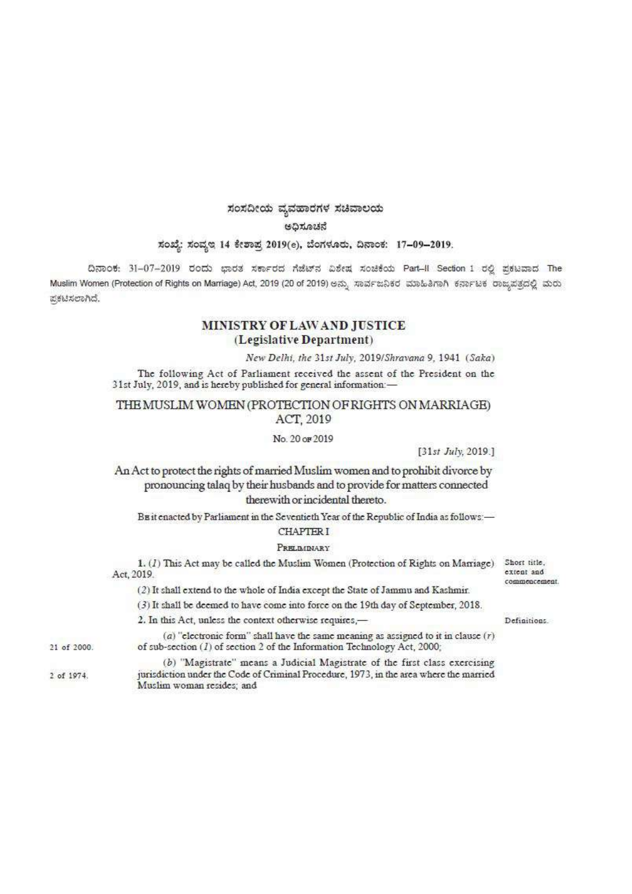# ಸಂಸದೀಯ ವೃವಹಾರಗಳ ಸಚಿವಾಲಯ

## ಅಧಿಸೂಚನೆ

# ಸಂಖ್ಯೆ: ಸಂವೃಇ 14 ಕೇಶಾಪ್ರ 2019(e), ಬೆಂಗಳೂರು, ದಿನಾಂಕ: 17-09-2019.

ದಿನಾಂಕ: 31-07-2019 ರಂದು ಭಾರತ ಸರ್ಕಾರದ ಗೆಜೆಟ್ ವಿಶೇಷ ಸಂಚಿಕೆಯ Part-II Section 1 ರಲ್ಲಿ ಪ್ರಕಟವಾದ The Muslim Women (Protection of Rights on Marriage) Act, 2019 (20 of 2019) ಅನ್ನು ಸಾರ್ವಜನಿಕರ ಮಾಹಿತಿಗಾಗಿ ಕರ್ನಾಟಕ ರಾಜ್ಯಪತ್ರದಲ್ಲಿ ಮರು ಪ್ರಕಟಿಸಲಾಗಿದೆ.

# MINISTRY OF LAW AND JUSTICE (Legislative Department)

New Delhi, the 31st July, 2019/Shravana 9, 1941 (Saka)

The following Act of Parliament received the assent of the President on the 31st July, 2019, and is hereby published for general information:-

THE MUSLIM WOMEN (PROTECTION OF RIGHTS ON MARRIAGE) ACT, 2019

## No. 20 or 2019

[31st July, 2019.]

An Act to protect the rights of married Muslim women and to prohibit divorce by pronouncing talaq by their husbands and to provide for matters connected therewith or incidental thereto.

Buit enacted by Parliament in the Seventieth Year of the Republic of India as follows .-**CHAPTERI** 

## PRELIMINARY

1. (1) This Act may be called the Muslim Women (Protection of Rights on Marriage) Act, 2019.

(2) It shall extend to the whole of India except the State of Jammu and Kashmir.

(3) It shall be deemed to have come into force on the 19th day of September, 2018.

2. In this Act, unless the context otherwise requires,-

21 of 2000.

2 of 1974.

(a) "electronic form" shall have the same meaning as assigned to it in clause  $(r)$ of sub-section  $(I)$  of section 2 of the Information Technology Act, 2000; (b) "Magistrate" means a Judicial Magistrate of the first class exercising

jurisdiction under the Code of Criminal Procedure, 1973, in the area where the married Muslim woman resides; and

Short title. extent and commencement.

Definitions.